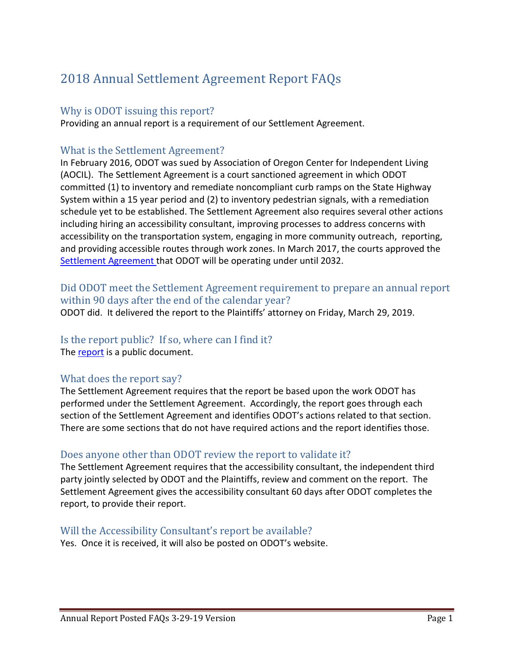# 2018 Annual Settlement Agreement Report FAQs

#### Why is ODOT issuing this report?

Providing an annual report is a requirement of our Settlement Agreement.

#### What is the Settlement Agreement?

In February 2016, ODOT was sued by Association of Oregon Center for Independent Living (AOCIL). The Settlement Agreement is a court sanctioned agreement in which ODOT committed (1) to inventory and remediate noncompliant curb ramps on the State Highway System within a 15 year period and (2) to inventory pedestrian signals, with a remediation schedule yet to be established. The Settlement Agreement also requires several other actions including hiring an accessibility consultant, improving processes to address concerns with accessibility on the transportation system, engaging in more community outreach, reporting, and providing accessible routes through work zones. In March 2017, the courts approved the [Settlement Agreement t](https://www.oregon.gov/ODOT/About/Pages/ADA.aspx)hat ODOT will be operating under until 2032.

## Did ODOT meet the Settlement Agreement requirement to prepare an annual report within 90 days after the end of the calendar year?

ODOT did. It delivered the report to the Plaintiffs' attorney on Friday, March 29, 2019.

#### Is the report public? If so, where can I find it?

The [report](https://www.oregon.gov/ODOT/About/Pages/ADA.aspx) is a public document.

#### What does the report say?

The Settlement Agreement requires that the report be based upon the work ODOT has performed under the Settlement Agreement. Accordingly, the report goes through each section of the Settlement Agreement and identifies ODOT's actions related to that section. There are some sections that do not have required actions and the report identifies those.

## Does anyone other than ODOT review the report to validate it?

The Settlement Agreement requires that the accessibility consultant, the independent third party jointly selected by ODOT and the Plaintiffs, review and comment on the report. The Settlement Agreement gives the accessibility consultant 60 days after ODOT completes the report, to provide their report.

#### Will the Accessibility Consultant's report be available?

Yes. Once it is received, it will also be posted on ODOT's website.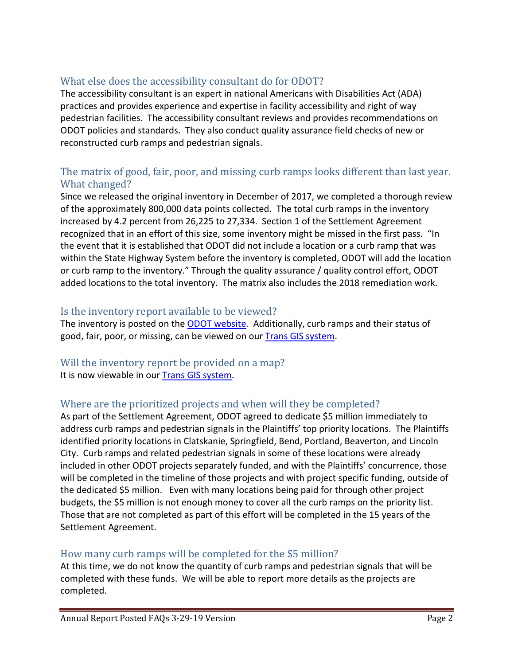# What else does the accessibility consultant do for ODOT?

The accessibility consultant is an expert in national Americans with Disabilities Act (ADA) practices and provides experience and expertise in facility accessibility and right of way pedestrian facilities. The accessibility consultant reviews and provides recommendations on ODOT policies and standards. They also conduct quality assurance field checks of new or reconstructed curb ramps and pedestrian signals.

# The matrix of good, fair, poor, and missing curb ramps looks different than last year. What changed?

Since we released the original inventory in December of 2017, we completed a thorough review of the approximately 800,000 data points collected. The total curb ramps in the inventory increased by 4.2 percent from 26,225 to 27,334. Section 1 of the Settlement Agreement recognized that in an effort of this size, some inventory might be missed in the first pass. "In the event that it is established that ODOT did not include a location or a curb ramp that was within the State Highway System before the inventory is completed, ODOT will add the location or curb ramp to the inventory." Through the quality assurance / quality control effort, ODOT added locations to the total inventory. The matrix also includes the 2018 remediation work.

#### Is the inventory report available to be viewed?

The inventory is posted on the [ODOT website.](https://www.oregon.gov/ODOT/About/Pages/ADA.aspx) Additionally, curb ramps and their status of good, fair, poor, or missing, can be viewed on our **Trans GIS system**.

#### Will the inventory report be provided on a map? It is now viewable in our [Trans GIS system.](http://gisintra.odot.state.or.us/TransGIS/Resources/Documents/help/transgis_help.pdf)

## Where are the prioritized projects and when will they be completed?

As part of the Settlement Agreement, ODOT agreed to dedicate \$5 million immediately to address curb ramps and pedestrian signals in the Plaintiffs' top priority locations. The Plaintiffs identified priority locations in Clatskanie, Springfield, Bend, Portland, Beaverton, and Lincoln City. Curb ramps and related pedestrian signals in some of these locations were already included in other ODOT projects separately funded, and with the Plaintiffs' concurrence, those will be completed in the timeline of those projects and with project specific funding, outside of the dedicated \$5 million. Even with many locations being paid for through other project budgets, the \$5 million is not enough money to cover all the curb ramps on the priority list. Those that are not completed as part of this effort will be completed in the 15 years of the Settlement Agreement.

## How many curb ramps will be completed for the \$5 million?

At this time, we do not know the quantity of curb ramps and pedestrian signals that will be completed with these funds. We will be able to report more details as the projects are completed.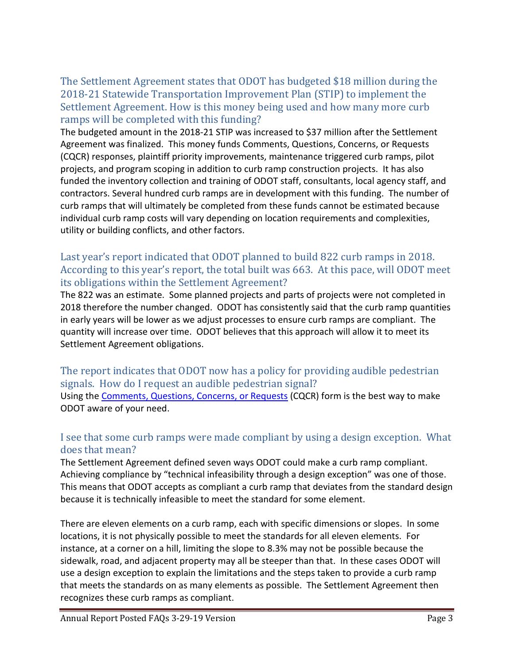The Settlement Agreement states that ODOT has budgeted \$18 million during the 2018-21 Statewide Transportation Improvement Plan (STIP) to implement the Settlement Agreement. How is this money being used and how many more curb ramps will be completed with this funding?

The budgeted amount in the 2018-21 STIP was increased to \$37 million after the Settlement Agreement was finalized. This money funds Comments, Questions, Concerns, or Requests (CQCR) responses, plaintiff priority improvements, maintenance triggered curb ramps, pilot projects, and program scoping in addition to curb ramp construction projects. It has also funded the inventory collection and training of ODOT staff, consultants, local agency staff, and contractors. Several hundred curb ramps are in development with this funding. The number of curb ramps that will ultimately be completed from these funds cannot be estimated because individual curb ramp costs will vary depending on location requirements and complexities, utility or building conflicts, and other factors.

# Last year's report indicated that ODOT planned to build 822 curb ramps in 2018. According to this year's report, the total built was 663. At this pace, will ODOT meet its obligations within the Settlement Agreement?

The 822 was an estimate. Some planned projects and parts of projects were not completed in 2018 therefore the number changed. ODOT has consistently said that the curb ramp quantities in early years will be lower as we adjust processes to ensure curb ramps are compliant. The quantity will increase over time. ODOT believes that this approach will allow it to meet its Settlement Agreement obligations.

#### The report indicates that ODOT now has a policy for providing audible pedestrian signals. How do I request an audible pedestrian signal? Using the [Comments, Questions, Concerns, or Requests](https://www.oregon.gov/ODOT/Pages/Ask-ODOT.aspx) (CQCR) form is the best way to make ODOT aware of your need.

# I see that some curb ramps were made compliant by using a design exception. What does that mean?

The Settlement Agreement defined seven ways ODOT could make a curb ramp compliant. Achieving compliance by "technical infeasibility through a design exception" was one of those. This means that ODOT accepts as compliant a curb ramp that deviates from the standard design because it is technically infeasible to meet the standard for some element.

There are eleven elements on a curb ramp, each with specific dimensions or slopes. In some locations, it is not physically possible to meet the standards for all eleven elements. For instance, at a corner on a hill, limiting the slope to 8.3% may not be possible because the sidewalk, road, and adjacent property may all be steeper than that. In these cases ODOT will use a design exception to explain the limitations and the steps taken to provide a curb ramp that meets the standards on as many elements as possible. The Settlement Agreement then recognizes these curb ramps as compliant.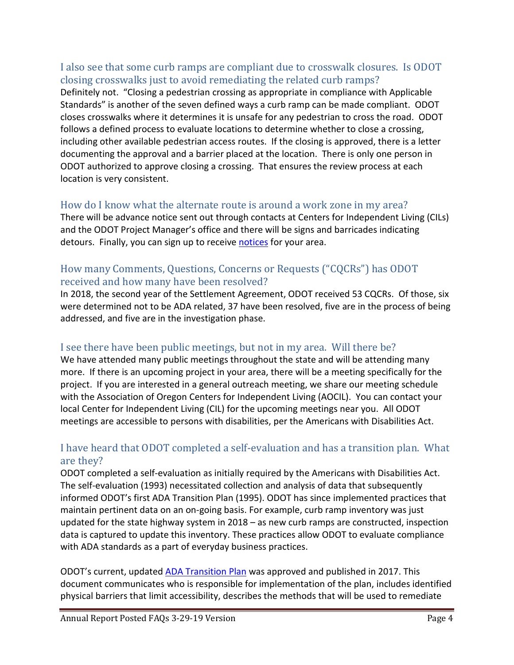#### I also see that some curb ramps are compliant due to crosswalk closures. Is ODOT closing crosswalks just to avoid remediating the related curb ramps?

Definitely not. "Closing a pedestrian crossing as appropriate in compliance with Applicable Standards" is another of the seven defined ways a curb ramp can be made compliant. ODOT closes crosswalks where it determines it is unsafe for any pedestrian to cross the road. ODOT follows a defined process to evaluate locations to determine whether to close a crossing, including other available pedestrian access routes. If the closing is approved, there is a letter documenting the approval and a barrier placed at the location. There is only one person in ODOT authorized to approve closing a crossing. That ensures the review process at each location is very consistent.

## How do I know what the alternate route is around a work zone in my area?

There will be advance notice sent out through contacts at Centers for Independent Living (CILs) and the ODOT Project Manager's office and there will be signs and barricades indicating detours. Finally, you can sign up to receive [notices](https://public.govdelivery.com/accounts/ORDOT/subscriber/new?preferences=true) for your area.

# How many Comments, Questions, Concerns or Requests ("CQCRs") has ODOT received and how many have been resolved?

In 2018, the second year of the Settlement Agreement, ODOT received 53 CQCRs. Of those, six were determined not to be ADA related, 37 have been resolved, five are in the process of being addressed, and five are in the investigation phase.

# I see there have been public meetings, but not in my area. Will there be?

We have attended many public meetings throughout the state and will be attending many more. If there is an upcoming project in your area, there will be a meeting specifically for the project. If you are interested in a general outreach meeting, we share our meeting schedule with the Association of Oregon Centers for Independent Living (AOCIL). You can contact your local Center for Independent Living (CIL) for the upcoming meetings near you. All ODOT meetings are accessible to persons with disabilities, per the Americans with Disabilities Act.

# I have heard that ODOT completed a self-evaluation and has a transition plan. What are they?

ODOT completed a self-evaluation as initially required by the Americans with Disabilities Act. The self-evaluation (1993) necessitated collection and analysis of data that subsequently informed ODOT's first ADA Transition Plan (1995). ODOT has since implemented practices that maintain pertinent data on an on-going basis. For example, curb ramp inventory was just updated for the state highway system in 2018 – as new curb ramps are constructed, inspection data is captured to update this inventory. These practices allow ODOT to evaluate compliance with ADA standards as a part of everyday business practices.

ODOT's current, updated [ADA Transition Plan](https://www.oregon.gov/ODOT/Business/OCR/Documents/Final%20ADA%20Transition%20Plan%202017.pdf) was approved and published in 2017. This document communicates who is responsible for implementation of the plan, includes identified physical barriers that limit accessibility, describes the methods that will be used to remediate